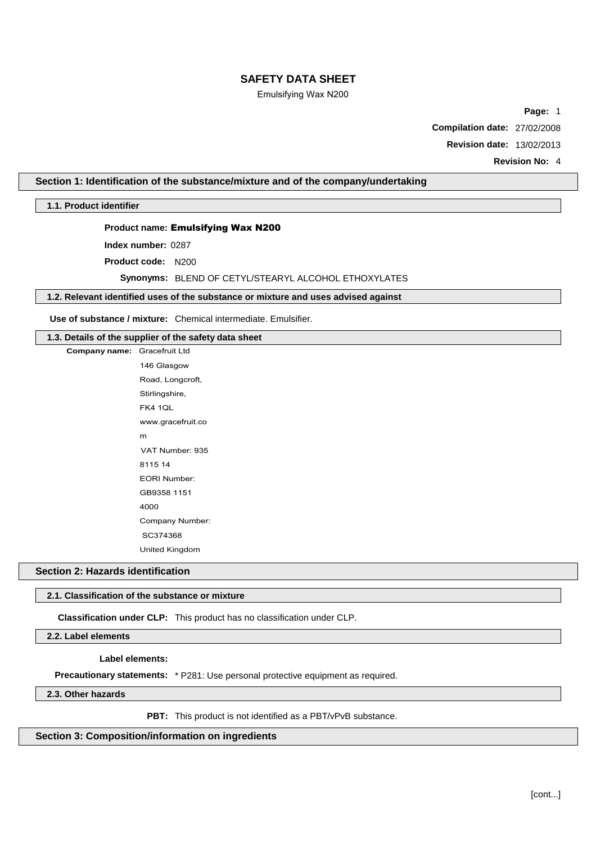# Emulsifying Wax N200

**Page:** 1

**Compilation date:** 27/02/2008

**Revision date:** 13/02/2013

**Revision No:** 4

## **Section 1: Identification of the substance/mixture and of the company/undertaking**

**1.1. Product identifier**

**Company** name:

## **Product name:** Emulsifying Wax N200

**Index number:** 0287

**Product code:** N200

**Synonyms:** BLEND OF CETYL/STEARYL ALCOHOL ETHOXYLATES

# **1.2. Relevant identified uses of the substance or mixture and uses advised against**

**Use of substance / mixture:** Chemical intermediate. Emulsifier.

## **1.3. Details of the supplier of the safety data sheet**

| Gracefruit Ltd        |
|-----------------------|
| 146 Glasgow           |
| Road, Longcroft,      |
| Stirlingshire,        |
| <b>FK4 1QL</b>        |
| www.gracefruit.co     |
| m                     |
| VAT Number: 935       |
| 8115 14               |
| <b>EORI Number:</b>   |
| GB9358 1151           |
| 4000                  |
| Company Number:       |
| SC374368              |
| <b>United Kingdom</b> |

#### **Section 2: Hazards identification**

#### **2.1. Classification of the substance or mixture**

**Classification under CLP:** This product has no classification under CLP.

**2.2. Label elements**

**Label elements:**

**Precautionary statements:** \* P281: Use personal protective equipment as required.

**2.3. Other hazards**

**PBT:** This product is not identified as a PBT/vPvB substance.

**Section 3: Composition/information on ingredients**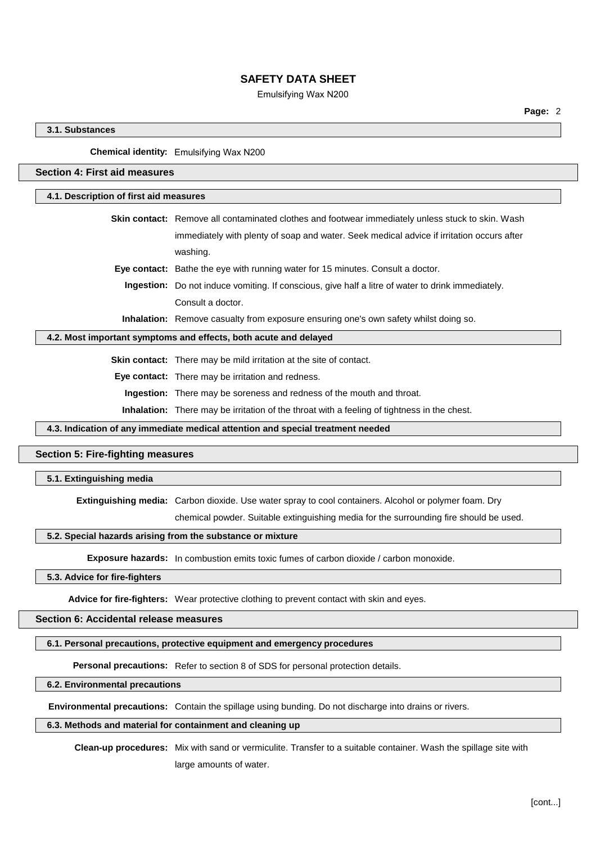## Emulsifying Wax N200

## **3.1. Substances**

### **Chemical identity:** Emulsifying Wax N200

# **Section 4: First aid measures**

#### **4.1. Description of first aid measures**

**Skin contact:** Remove all contaminated clothes and footwear immediately unless stuck to skin. Wash immediately with plenty of soap and water. Seek medical advice if irritation occurs after washing. **Eye contact:** Bathe the eye with running water for 15 minutes. Consult a doctor.

**Ingestion:** Do not induce vomiting. If conscious, give half a litre of water to drink immediately. Consult a doctor.

**Inhalation:** Remove casualty from exposure ensuring one's own safety whilst doing so.

# **4.2. Most important symptoms and effects, both acute and delayed**

**Skin contact:** There may be mild irritation at the site of contact.

**Eye contact:** There may be irritation and redness.

**Ingestion:** There may be soreness and redness of the mouth and throat.

**Inhalation:** There may be irritation of the throat with a feeling of tightness in the chest.

**4.3. Indication of any immediate medical attention and special treatment needed**

# **Section 5: Fire-fighting measures**

## **5.1. Extinguishing media**

**Extinguishing media:** Carbon dioxide. Use water spray to cool containers. Alcohol or polymer foam. Dry

chemical powder. Suitable extinguishing media for the surrounding fire should be used.

#### **5.2. Special hazards arising from the substance or mixture**

**Exposure hazards:** In combustion emits toxic fumes of carbon dioxide / carbon monoxide.

# **5.3. Advice for fire-fighters**

**Advice for fire-fighters:** Wear protective clothing to prevent contact with skin and eyes.

# **Section 6: Accidental release measures**

#### **6.1. Personal precautions, protective equipment and emergency procedures**

**Personal precautions:** Refer to section 8 of SDS for personal protection details.

# **6.2. Environmental precautions**

**Environmental precautions:** Contain the spillage using bunding. Do not discharge into drains or rivers.

## **6.3. Methods and material for containment and cleaning up**

**Clean-up procedures:** Mix with sand or vermiculite. Transfer to a suitable container. Wash the spillage site with large amounts of water.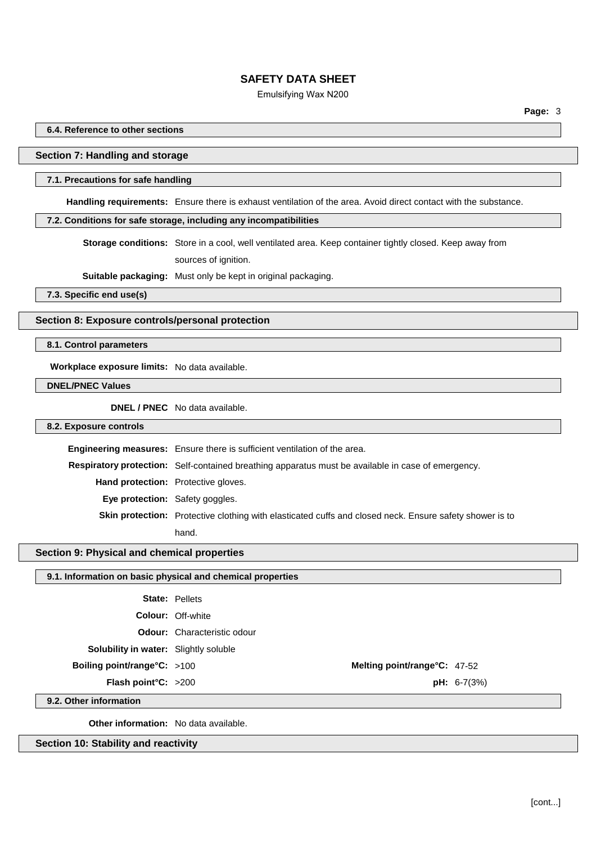### Emulsifying Wax N200

**6.4. Reference to other sections**

## **Section 7: Handling and storage**

#### **7.1. Precautions for safe handling**

**Handling requirements:** Ensure there is exhaust ventilation of the area. Avoid direct contact with the substance.

#### **7.2. Conditions for safe storage, including any incompatibilities**

**Storage conditions:** Store in a cool, well ventilated area. Keep container tightly closed. Keep away from sources of ignition.

**Suitable packaging:** Must only be kept in original packaging.

**7.3. Specific end use(s)**

#### **Section 8: Exposure controls/personal protection**

# **8.1. Control parameters**

**Workplace exposure limits:** No data available.

**DNEL/PNEC Values**

**DNEL / PNEC** No data available.

#### **8.2. Exposure controls**

**Engineering measures:** Ensure there is sufficient ventilation of the area. **Respiratory protection:** Self-contained breathing apparatus must be available in case of emergency. **Hand protection:** Protective gloves. **Eye protection:** Safety goggles. **Skin protection:** Protective clothing with elasticated cuffs and closed neck. Ensure safety shower is to hand.

## **Section 9: Physical and chemical properties**

#### **9.1. Information on basic physical and chemical properties**

**Odour:** Characteristic odour

**Solubility in water:** Slightly soluble

**Boiling point/range°C:** >100 **Melting point/range°C:** 47-52

**Flash point°C:** >200 **pH:** 6-7(3%)

**9.2. Other information**

**Other information:** No data available.

**Section 10: Stability and reactivity**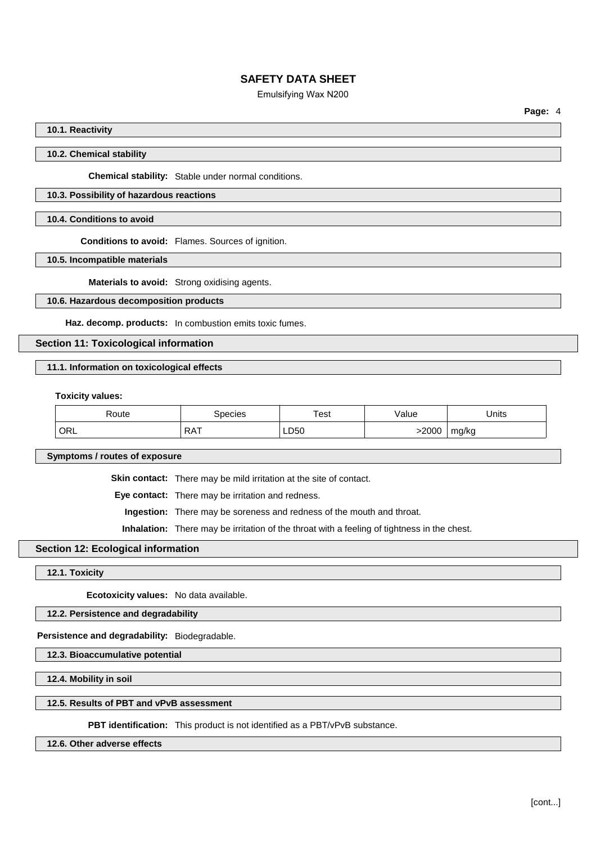# Emulsifying Wax N200

**Page:** 4

### **10.1. Reactivity**

#### **10.2. Chemical stability**

**Chemical stability:** Stable under normal conditions.

# **10.3. Possibility of hazardous reactions**

#### **10.4. Conditions to avoid**

**Conditions to avoid:** Flames. Sources of ignition.

**10.5. Incompatible materials**

**Materials to avoid:** Strong oxidising agents.

## **10.6. Hazardous decomposition products**

**Haz. decomp. products:** In combustion emits toxic fumes.

#### **Section 11: Toxicological information**

# **11.1. Information on toxicological effects**

**Toxicity values:**

| Route | pecies     | ™est | 'alue   | Units |
|-------|------------|------|---------|-------|
| ORL   | <b>RAT</b> | LD50 | $-200C$ | mg/kg |

**Symptoms / routes of exposure**

**Skin contact:** There may be mild irritation at the site of contact.

**Eye contact:** There may be irritation and redness.

**Ingestion:** There may be soreness and redness of the mouth and throat.

**Inhalation:** There may be irritation of the throat with a feeling of tightness in the chest.

## **Section 12: Ecological information**

**12.1. Toxicity**

**Ecotoxicity values:** No data available.

**12.2. Persistence and degradability**

**Persistence and degradability:** Biodegradable.

**12.3. Bioaccumulative potential**

**12.4. Mobility in soil**

### **12.5. Results of PBT and vPvB assessment**

**PBT identification:** This product is not identified as a PBT/vPvB substance.

## **12.6. Other adverse effects**